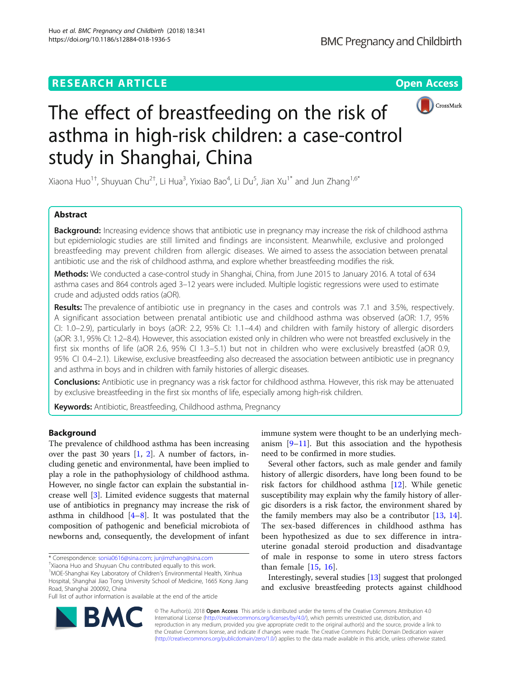# **RESEARCH ARTICLE Example 2014 12:30 The Contract of Contract ACCESS**



# The effect of breastfeeding on the risk of asthma in high-risk children: a case-control study in Shanghai, China

Xiaona Huo<sup>1†</sup>, Shuyuan Chu<sup>2†</sup>, Li Hua<sup>3</sup>, Yixiao Bao<sup>4</sup>, Li Du<sup>5</sup>, Jian Xu<sup>1\*</sup> and Jun Zhang<sup>1,6\*</sup>

# Abstract

**Background:** Increasing evidence shows that antibiotic use in pregnancy may increase the risk of childhood asthma but epidemiologic studies are still limited and findings are inconsistent. Meanwhile, exclusive and prolonged breastfeeding may prevent children from allergic diseases. We aimed to assess the association between prenatal antibiotic use and the risk of childhood asthma, and explore whether breastfeeding modifies the risk.

Methods: We conducted a case-control study in Shanghai, China, from June 2015 to January 2016. A total of 634 asthma cases and 864 controls aged 3–12 years were included. Multiple logistic regressions were used to estimate crude and adjusted odds ratios (aOR).

Results: The prevalence of antibiotic use in pregnancy in the cases and controls was 7.1 and 3.5%, respectively. A significant association between prenatal antibiotic use and childhood asthma was observed (aOR: 1.7, 95% CI: 1.0–2.9), particularly in boys (aOR: 2.2, 95% CI: 1.1–4.4) and children with family history of allergic disorders (aOR: 3.1, 95% CI: 1.2–8.4). However, this association existed only in children who were not breastfed exclusively in the first six months of life (aOR 2.6, 95% CI 1.3–5.1) but not in children who were exclusively breastfed (aOR 0.9, 95% CI 0.4–2.1). Likewise, exclusive breastfeeding also decreased the association between antibiotic use in pregnancy and asthma in boys and in children with family histories of allergic diseases.

Conclusions: Antibiotic use in pregnancy was a risk factor for childhood asthma. However, this risk may be attenuated by exclusive breastfeeding in the first six months of life, especially among high-risk children.

Keywords: Antibiotic, Breastfeeding, Childhood asthma, Pregnancy

# Background

The prevalence of childhood asthma has been increasing over the past 30 years [\[1](#page-6-0), [2](#page-6-0)]. A number of factors, including genetic and environmental, have been implied to play a role in the pathophysiology of childhood asthma. However, no single factor can explain the substantial increase well [[3\]](#page-6-0). Limited evidence suggests that maternal use of antibiotics in pregnancy may increase the risk of asthma in childhood  $[4-8]$  $[4-8]$  $[4-8]$  $[4-8]$  $[4-8]$ . It was postulated that the composition of pathogenic and beneficial microbiota of newborns and, consequently, the development of infant

immune system were thought to be an underlying mechanism  $[9-11]$  $[9-11]$  $[9-11]$ . But this association and the hypothesis need to be confirmed in more studies.

Several other factors, such as male gender and family history of allergic disorders, have long been found to be risk factors for childhood asthma  $[12]$  $[12]$ . While genetic susceptibility may explain why the family history of allergic disorders is a risk factor, the environment shared by the family members may also be a contributor [[13](#page-6-0), [14](#page-6-0)]. The sex-based differences in childhood asthma has been hypothesized as due to sex difference in intrauterine gonadal steroid production and disadvantage of male in response to some in utero stress factors than female [[15,](#page-6-0) [16\]](#page-6-0).

Interestingly, several studies [\[13\]](#page-6-0) suggest that prolonged and exclusive breastfeeding protects against childhood



© The Author(s). 2018 Open Access This article is distributed under the terms of the Creative Commons Attribution 4.0 International License [\(http://creativecommons.org/licenses/by/4.0/](http://creativecommons.org/licenses/by/4.0/)), which permits unrestricted use, distribution, and reproduction in any medium, provided you give appropriate credit to the original author(s) and the source, provide a link to the Creative Commons license, and indicate if changes were made. The Creative Commons Public Domain Dedication waiver [\(http://creativecommons.org/publicdomain/zero/1.0/](http://creativecommons.org/publicdomain/zero/1.0/)) applies to the data made available in this article, unless otherwise stated.

<sup>\*</sup> Correspondence: [sonia0616@sina.com](mailto:sonia0616@sina.com); [junjimzhang@sina.com](mailto:junjimzhang@sina.com) †

Xiaona Huo and Shuyuan Chu contributed equally to this work.

<sup>&</sup>lt;sup>1</sup>MOE-Shanghai Key Laboratory of Children's Environmental Health, Xinhua Hospital, Shanghai Jiao Tong University School of Medicine, 1665 Kong Jiang Road, Shanghai 200092, China

Full list of author information is available at the end of the article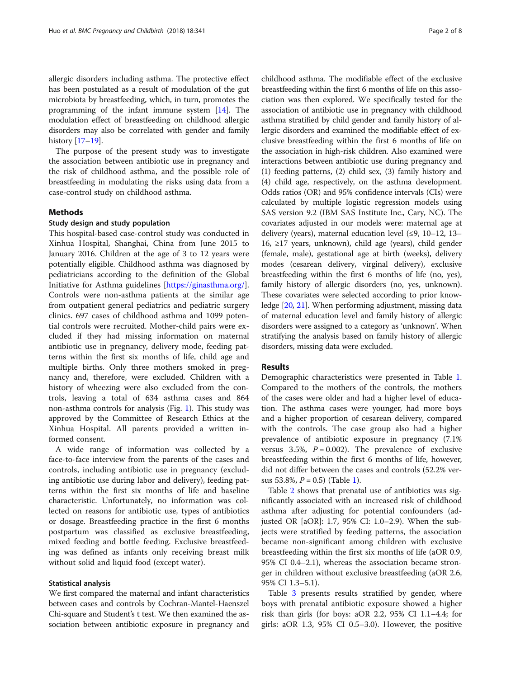allergic disorders including asthma. The protective effect has been postulated as a result of modulation of the gut microbiota by breastfeeding, which, in turn, promotes the programming of the infant immune system [[14\]](#page-6-0). The modulation effect of breastfeeding on childhood allergic disorders may also be correlated with gender and family history [[17](#page-6-0)–[19\]](#page-7-0).

The purpose of the present study was to investigate the association between antibiotic use in pregnancy and the risk of childhood asthma, and the possible role of breastfeeding in modulating the risks using data from a case-control study on childhood asthma.

# Methods

#### Study design and study population

This hospital-based case-control study was conducted in Xinhua Hospital, Shanghai, China from June 2015 to January 2016. Children at the age of 3 to 12 years were potentially eligible. Childhood asthma was diagnosed by pediatricians according to the definition of the Global Initiative for Asthma guidelines [<https://ginasthma.org/>]. Controls were non-asthma patients at the similar age from outpatient general pediatrics and pediatric surgery clinics. 697 cases of childhood asthma and 1099 potential controls were recruited. Mother-child pairs were excluded if they had missing information on maternal antibiotic use in pregnancy, delivery mode, feeding patterns within the first six months of life, child age and multiple births. Only three mothers smoked in pregnancy and, therefore, were excluded. Children with a history of wheezing were also excluded from the controls, leaving a total of 634 asthma cases and 864 non-asthma controls for analysis (Fig. [1](#page-2-0)). This study was approved by the Committee of Research Ethics at the Xinhua Hospital. All parents provided a written informed consent.

A wide range of information was collected by a face-to-face interview from the parents of the cases and controls, including antibiotic use in pregnancy (excluding antibiotic use during labor and delivery), feeding patterns within the first six months of life and baseline characteristic. Unfortunately, no information was collected on reasons for antibiotic use, types of antibiotics or dosage. Breastfeeding practice in the first 6 months postpartum was classified as exclusive breastfeeding, mixed feeding and bottle feeding. Exclusive breastfeeding was defined as infants only receiving breast milk without solid and liquid food (except water).

#### Statistical analysis

We first compared the maternal and infant characteristics between cases and controls by Cochran-Mantel-Haenszel Chi-square and Student's t test. We then examined the association between antibiotic exposure in pregnancy and

childhood asthma. The modifiable effect of the exclusive breastfeeding within the first 6 months of life on this association was then explored. We specifically tested for the association of antibiotic use in pregnancy with childhood asthma stratified by child gender and family history of allergic disorders and examined the modifiable effect of exclusive breastfeeding within the first 6 months of life on the association in high-risk children. Also examined were interactions between antibiotic use during pregnancy and (1) feeding patterns, (2) child sex, (3) family history and (4) child age, respectively, on the asthma development. Odds ratios (OR) and 95% confidence intervals (CIs) were calculated by multiple logistic regression models using SAS version 9.2 (IBM SAS Institute Inc., Cary, NC). The covariates adjusted in our models were: maternal age at delivery (years), maternal education level (≤9, 10–12, 13– 16, ≥17 years, unknown), child age (years), child gender (female, male), gestational age at birth (weeks), delivery modes (cesarean delivery, virginal delivery), exclusive breastfeeding within the first 6 months of life (no, yes), family history of allergic disorders (no, yes, unknown). These covariates were selected according to prior knowledge [\[20](#page-7-0), [21\]](#page-7-0). When performing adjustment, missing data of maternal education level and family history of allergic disorders were assigned to a category as 'unknown'. When stratifying the analysis based on family history of allergic disorders, missing data were excluded.

# Results

Demographic characteristics were presented in Table [1](#page-3-0). Compared to the mothers of the controls, the mothers of the cases were older and had a higher level of education. The asthma cases were younger, had more boys and a higher proportion of cesarean delivery, compared with the controls. The case group also had a higher prevalence of antibiotic exposure in pregnancy (7.1% versus 3.5%,  $P = 0.002$ ). The prevalence of exclusive breastfeeding within the first 6 months of life, however, did not differ between the cases and controls (52.2% versus 53.8%,  $P = 0.5$ ) (Table [1\)](#page-3-0).

Table [2](#page-4-0) shows that prenatal use of antibiotics was significantly associated with an increased risk of childhood asthma after adjusting for potential confounders (adjusted OR [aOR]: 1.7, 95% CI: 1.0–2.9). When the subjects were stratified by feeding patterns, the association became non-significant among children with exclusive breastfeeding within the first six months of life (aOR 0.9, 95% CI 0.4–2.1), whereas the association became stronger in children without exclusive breastfeeding (aOR 2.6, 95% CI 1.3–5.1).

Table [3](#page-4-0) presents results stratified by gender, where boys with prenatal antibiotic exposure showed a higher risk than girls (for boys: aOR 2.2, 95% CI 1.1–4.4; for girls: aOR 1.3, 95% CI 0.5–3.0). However, the positive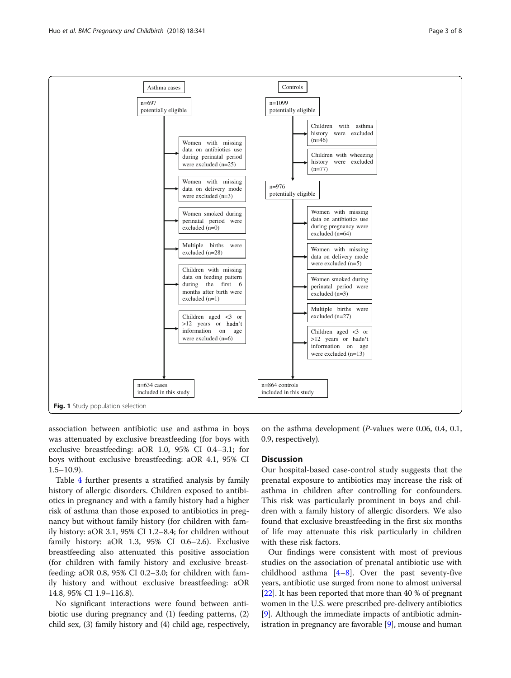<span id="page-2-0"></span>

association between antibiotic use and asthma in boys was attenuated by exclusive breastfeeding (for boys with exclusive breastfeeding: aOR 1.0, 95% CI 0.4–3.1; for boys without exclusive breastfeeding: aOR 4.1, 95% CI  $1.5-10.9$ ).

Table [4](#page-5-0) further presents a stratified analysis by family history of allergic disorders. Children exposed to antibiotics in pregnancy and with a family history had a higher risk of asthma than those exposed to antibiotics in pregnancy but without family history (for children with family history: aOR 3.1, 95% CI 1.2–8.4; for children without family history: aOR 1.3, 95% CI 0.6–2.6). Exclusive breastfeeding also attenuated this positive association (for children with family history and exclusive breastfeeding: aOR 0.8, 95% CI 0.2–3.0; for children with family history and without exclusive breastfeeding: aOR 14.8, 95% CI 1.9–116.8).

No significant interactions were found between antibiotic use during pregnancy and (1) feeding patterns, (2) child sex, (3) family history and (4) child age, respectively,

on the asthma development (P-values were 0.06, 0.4, 0.1, 0.9, respectively).

# **Discussion**

Our hospital-based case-control study suggests that the prenatal exposure to antibiotics may increase the risk of asthma in children after controlling for confounders. This risk was particularly prominent in boys and children with a family history of allergic disorders. We also found that exclusive breastfeeding in the first six months of life may attenuate this risk particularly in children with these risk factors.

Our findings were consistent with most of previous studies on the association of prenatal antibiotic use with childhood asthma  $[4-8]$  $[4-8]$  $[4-8]$  $[4-8]$ . Over the past seventy-five years, antibiotic use surged from none to almost universal [[22](#page-7-0)]. It has been reported that more than 40 % of pregnant women in the U.S. were prescribed pre-delivery antibiotics [[9\]](#page-6-0). Although the immediate impacts of antibiotic administration in pregnancy are favorable [\[9](#page-6-0)], mouse and human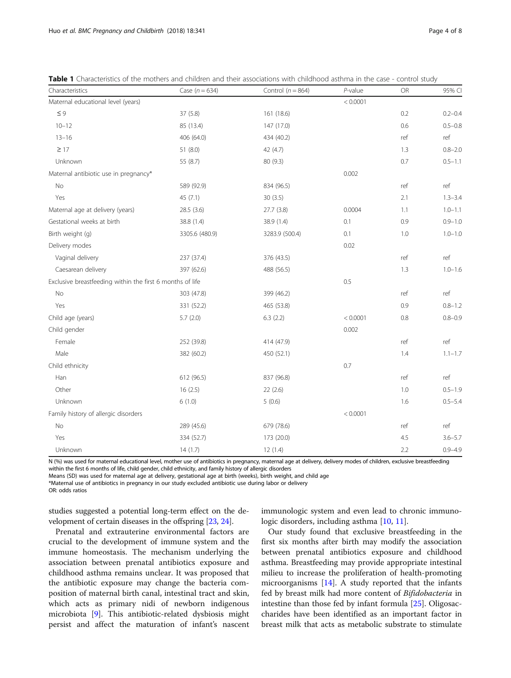| Characteristics                                           | Case ( $n = 634$ ) | Control ( $n = 864$ ) | $P$ -value | OR  | 95% CI      |
|-----------------------------------------------------------|--------------------|-----------------------|------------|-----|-------------|
| Maternal educational level (years)                        |                    |                       | < 0.0001   |     |             |
| $\leq 9$                                                  | 37(5.8)            | 161 (18.6)            |            | 0.2 | $0.2 - 0.4$ |
| $10 - 12$                                                 | 85 (13.4)          | 147 (17.0)            |            | 0.6 | $0.5 - 0.8$ |
| $13 - 16$                                                 | 406 (64.0)         | 434 (40.2)            |            | ref | ref         |
| $\geq$ 17                                                 | 51 (8.0)           | 42 (4.7)              |            | 1.3 | $0.8 - 2.0$ |
| Unknown                                                   | 55 (8.7)           | 80 (9.3)              |            | 0.7 | $0.5 - 1.1$ |
| Maternal antibiotic use in pregnancy*                     |                    |                       | 0.002      |     |             |
| No                                                        | 589 (92.9)         | 834 (96.5)            |            | ref | ref         |
| Yes                                                       | 45(7.1)            | 30(3.5)               |            | 2.1 | $1.3 - 3.4$ |
| Maternal age at delivery (years)                          | 28.5(3.6)          | 27.7(3.8)             | 0.0004     | 1.1 | $1.0 - 1.1$ |
| Gestational weeks at birth                                | 38.8 (1.4)         | 38.9 (1.4)            | 0.1        | 0.9 | $0.9 - 1.0$ |
| Birth weight (g)                                          | 3305.6 (480.9)     | 3283.9 (500.4)        | 0.1        | 1.0 | $1.0 - 1.0$ |
| Delivery modes                                            |                    |                       | 0.02       |     |             |
| Vaginal delivery                                          | 237 (37.4)         | 376 (43.5)            |            | ref | ref         |
| Caesarean delivery                                        | 397 (62.6)         | 488 (56.5)            |            | 1.3 | $1.0 - 1.6$ |
| Exclusive breastfeeding within the first 6 months of life |                    |                       | 0.5        |     |             |
| No                                                        | 303 (47.8)         | 399 (46.2)            |            | ref | ref         |
| Yes                                                       | 331 (52.2)         | 465 (53.8)            |            | 0.9 | $0.8 - 1.2$ |
| Child age (years)                                         | 5.7(2.0)           | 6.3(2.2)              | < 0.0001   | 0.8 | $0.8 - 0.9$ |
| Child gender                                              |                    |                       | 0.002      |     |             |
| Female                                                    | 252 (39.8)         | 414 (47.9)            |            | ref | ref         |
| Male                                                      | 382 (60.2)         | 450 (52.1)            |            | 1.4 | $1.1 - 1.7$ |
| Child ethnicity                                           |                    |                       | 0.7        |     |             |
| Han                                                       | 612 (96.5)         | 837 (96.8)            |            | ref | ref         |
| Other                                                     | 16(2.5)            | 22(2.6)               |            | 1.0 | $0.5 - 1.9$ |
| Unknown                                                   | 6(1.0)             | 5(0.6)                |            | 1.6 | $0.5 - 5.4$ |
| Family history of allergic disorders                      |                    |                       | < 0.0001   |     |             |
| No                                                        | 289 (45.6)         | 679 (78.6)            |            | ref | ref         |
| Yes                                                       | 334 (52.7)         | 173 (20.0)            |            | 4.5 | $3.6 - 5.7$ |
| Unknown                                                   | 14(1.7)            | 12(1.4)               |            | 2.2 | $0.9 - 4.9$ |

<span id="page-3-0"></span>Table 1 Characteristics of the mothers and children and their associations with childhood asthma in the case - control study

N (%) was used for maternal educational level, mother use of antibiotics in pregnancy, maternal age at delivery, delivery modes of children, exclusive breastfeeding within the first 6 months of life, child gender, child ethnicity, and family history of allergic disorders

Means (SD) was used for maternal age at delivery, gestational age at birth (weeks), birth weight, and child age

\*Maternal use of antibiotics in pregnancy in our study excluded antibiotic use during labor or delivery

studies suggested a potential long-term effect on the development of certain diseases in the offspring [\[23,](#page-7-0) [24](#page-7-0)].

immunologic system and even lead to chronic immuno-logic disorders, including asthma [\[10](#page-6-0), [11\]](#page-6-0).

Prenatal and extrauterine environmental factors are crucial to the development of immune system and the immune homeostasis. The mechanism underlying the association between prenatal antibiotics exposure and childhood asthma remains unclear. It was proposed that the antibiotic exposure may change the bacteria composition of maternal birth canal, intestinal tract and skin, which acts as primary nidi of newborn indigenous microbiota [[9\]](#page-6-0). This antibiotic-related dysbiosis might persist and affect the maturation of infant's nascent

Our study found that exclusive breastfeeding in the first six months after birth may modify the association between prenatal antibiotics exposure and childhood asthma. Breastfeeding may provide appropriate intestinal milieu to increase the proliferation of health-promoting microorganisms [[14](#page-6-0)]. A study reported that the infants fed by breast milk had more content of Bifidobacteria in intestine than those fed by infant formula [[25\]](#page-7-0). Oligosaccharides have been identified as an important factor in breast milk that acts as metabolic substrate to stimulate

OR: odds ratios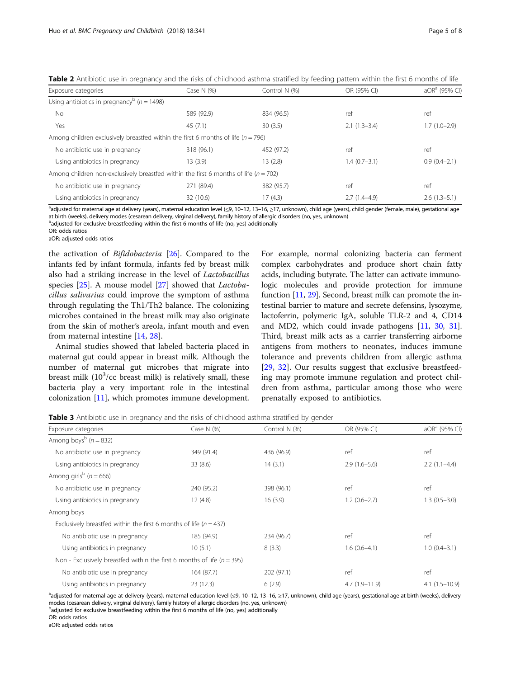| Exposure categories                                                                      | Case N $(%)$ | Control N (%) | OR (95% CI)    | aOR <sup>a</sup> (95% CI) |
|------------------------------------------------------------------------------------------|--------------|---------------|----------------|---------------------------|
| Using antibiotics in pregnancy <sup>b</sup> ( $n = 1498$ )                               |              |               |                |                           |
| <b>No</b>                                                                                | 589 (92.9)   | 834 (96.5)    | ref            | ref                       |
| Yes                                                                                      | 45(7.1)      | 30(3.5)       | $2.1(1.3-3.4)$ | $1.7(1.0-2.9)$            |
| Among children exclusively breastfed within the first 6 months of life ( $n = 796$ )     |              |               |                |                           |
| No antibiotic use in pregnancy                                                           | 318 (96.1)   | 452 (97.2)    | ref            | ref                       |
| Using antibiotics in pregnancy                                                           | 13(3.9)      | 13(2.8)       | $1.4(0.7-3.1)$ | $0.9(0.4-2.1)$            |
| Among children non-exclusively breastfed within the first 6 months of life ( $n = 702$ ) |              |               |                |                           |
| No antibiotic use in pregnancy                                                           | 271 (89.4)   | 382 (95.7)    | ref            | ref                       |
| Using antibiotics in pregnancy                                                           | 32 (10.6)    | 17(4.3)       | $2.7(1.4-4.9)$ | $2.6(1.3-5.1)$            |

<span id="page-4-0"></span>Table 2 Antibiotic use in pregnancy and the risks of childhood asthma stratified by feeding pattern within the first 6 months of life

adjusted for maternal age at delivery (years), maternal education level (≤9, 10–12, 13–16, ≥17, unknown), child age (years), child gender (female, male), gestational age at birth (weeks), delivery modes (cesarean delivery, virginal delivery), family history of allergic disorders (no, yes, unknown)

**badjusted for exclusive breastfeeding within the first 6 months of life (no, yes) additionally** 

OR: odds ratios

aOR: adjusted odds ratios

the activation of Bifidobacteria [[26\]](#page-7-0). Compared to the infants fed by infant formula, infants fed by breast milk also had a striking increase in the level of Lactobacillus species [\[25\]](#page-7-0). A mouse model [\[27\]](#page-7-0) showed that *Lactoba*cillus salivarius could improve the symptom of asthma through regulating the Th1/Th2 balance. The colonizing microbes contained in the breast milk may also originate from the skin of mother's areola, infant mouth and even from maternal intestine [[14](#page-6-0), [28](#page-7-0)].

Animal studies showed that labeled bacteria placed in maternal gut could appear in breast milk. Although the number of maternal gut microbes that migrate into breast milk  $(10^3/cc)$  breast milk) is relatively small, these bacteria play a very important role in the intestinal colonization [\[11](#page-6-0)], which promotes immune development.

For example, normal colonizing bacteria can ferment complex carbohydrates and produce short chain fatty acids, including butyrate. The latter can activate immunologic molecules and provide protection for immune function [\[11,](#page-6-0) [29](#page-7-0)]. Second, breast milk can promote the intestinal barrier to mature and secrete defensins, lysozyme, lactoferrin, polymeric IgA, soluble TLR-2 and 4, CD14 and MD2, which could invade pathogens [[11](#page-6-0), [30](#page-7-0), [31](#page-7-0)]. Third, breast milk acts as a carrier transferring airborne antigens from mothers to neonates, induces immune tolerance and prevents children from allergic asthma [[29,](#page-7-0) [32](#page-7-0)]. Our results suggest that exclusive breastfeeding may promote immune regulation and protect children from asthma, particular among those who were prenatally exposed to antibiotics.

**Table 3** Antibiotic use in pregnancy and the risks of childhood asthma stratified by gender

| Exposure categories                                                         | Case N $(%)$ | Control N (%) | OR (95% CI)     | aOR <sup>a</sup> (95% CI) |
|-----------------------------------------------------------------------------|--------------|---------------|-----------------|---------------------------|
| Among boys <sup>b</sup> ( $n = 832$ )                                       |              |               |                 |                           |
| No antibiotic use in pregnancy                                              | 349 (91.4)   | 436 (96.9)    | ref             | ref                       |
| Using antibiotics in pregnancy                                              | 33(8.6)      | 14(3.1)       | $2.9(1.6-5.6)$  | $2.2(1.1-4.4)$            |
| Among girls <sup>b</sup> ( $n = 666$ )                                      |              |               |                 |                           |
| No antibiotic use in pregnancy                                              | 240 (95.2)   | 398 (96.1)    | ref             | ref                       |
| Using antibiotics in pregnancy                                              | 12(4.8)      | 16(3.9)       | $1.2(0.6-2.7)$  | $1.3(0.5-3.0)$            |
| Among boys                                                                  |              |               |                 |                           |
| Exclusively breastfed within the first 6 months of life ( $n = 437$ )       |              |               |                 |                           |
| No antibiotic use in pregnancy                                              | 185 (94.9)   | 234 (96.7)    | ref             | ref                       |
| Using antibiotics in pregnancy                                              | 10(5.1)      | 8(3.3)        | $1.6(0.6-4.1)$  | $1.0(0.4-3.1)$            |
| Non - Exclusively breastfed within the first 6 months of life ( $n = 395$ ) |              |               |                 |                           |
| No antibiotic use in pregnancy                                              | 164 (87.7)   | 202 (97.1)    | ref             | ref                       |
| Using antibiotics in pregnancy                                              | 23(12.3)     | 6(2.9)        | $4.7(1.9-11.9)$ | $4.1(1.5-10.9)$           |

adjusted for maternal age at delivery (years), maternal education level (≤9, 10–12, 13–16, ≥17, unknown), child age (years), gestational age at birth (weeks), delivery modes (cesarean delivery, virginal delivery), family history of allergic disorders (no, yes, unknown)

**badjusted for exclusive breastfeeding within the first 6 months of life (no, yes) additionally** OR: odds ratios

aOR: adjusted odds ratios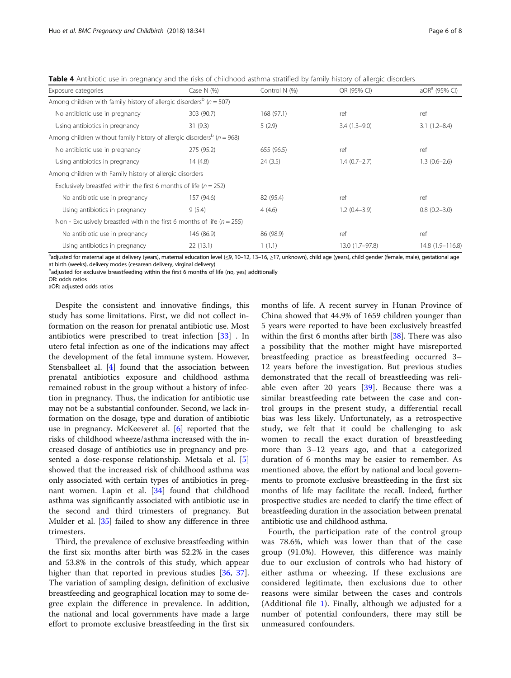<span id="page-5-0"></span>Table 4 Antibiotic use in pregnancy and the risks of childhood asthma stratified by family history of allergic disorders

| Exposure categories                                                                    | Case N $(%)$ | Control N (%) | OR (95% CI)     | $aORa$ (95% CI)  |
|----------------------------------------------------------------------------------------|--------------|---------------|-----------------|------------------|
| Among children with family history of allergic disorders <sup>b</sup> ( $n = 507$ )    |              |               |                 |                  |
| No antibiotic use in pregnancy                                                         | 303 (90.7)   | 168 (97.1)    | ref             | ref              |
| Using antibiotics in pregnancy                                                         | 31(9.3)      | 5(2.9)        | $3.4(1.3-9.0)$  | $3.1(1.2 - 8.4)$ |
| Among children without family history of allergic disorders <sup>b</sup> ( $n = 968$ ) |              |               |                 |                  |
| No antibiotic use in pregnancy                                                         | 275 (95.2)   | 655 (96.5)    | ref             | ref              |
| Using antibiotics in pregnancy                                                         | 14(4.8)      | 24(3.5)       | $1.4(0.7-2.7)$  | $1.3(0.6-2.6)$   |
| Among children with Family history of allergic disorders                               |              |               |                 |                  |
| Exclusively breastfed within the first 6 months of life ( $n = 252$ )                  |              |               |                 |                  |
| No antibiotic use in pregnancy                                                         | 157 (94.6)   | 82 (95.4)     | ref             | ref              |
| Using antibiotics in pregnancy                                                         | 9(5.4)       | 4(4.6)        | $1.2(0.4-3.9)$  | $0.8(0.2 - 3.0)$ |
| Non - Exclusively breastfed within the first 6 months of life ( $n = 255$ )            |              |               |                 |                  |
| No antibiotic use in pregnancy                                                         | 146 (86.9)   | 86 (98.9)     | ref             | ref              |
| Using antibiotics in pregnancy                                                         | 22(13.1)     | 1(1.1)        | 13.0 (1.7-97.8) | 14.8 (1.9-116.8) |

a<br>adjusted for maternal age at delivery (years), maternal education level (≤9, 10–12, 13–16, ≥17, unknown), child age (years), child gender (female, male), gestational age at birth (weeks), delivery modes (cesarean delivery, virginal delivery)

<sup>b</sup>adjusted for exclusive breastfeeding within the first 6 months of life (no, yes) additionally

OR: odds ratios

aOR: adjusted odds ratios

Despite the consistent and innovative findings, this study has some limitations. First, we did not collect information on the reason for prenatal antibiotic use. Most antibiotics were prescribed to treat infection [[33\]](#page-7-0) . In utero fetal infection as one of the indications may affect the development of the fetal immune system. However, Stensballeet al. [[4\]](#page-6-0) found that the association between prenatal antibiotics exposure and childhood asthma remained robust in the group without a history of infection in pregnancy. Thus, the indication for antibiotic use may not be a substantial confounder. Second, we lack information on the dosage, type and duration of antibiotic use in pregnancy. McKeeveret al. [[6](#page-6-0)] reported that the risks of childhood wheeze/asthma increased with the increased dosage of antibiotics use in pregnancy and presented a dose-response relationship. Metsala et al. [\[5](#page-6-0)] showed that the increased risk of childhood asthma was only associated with certain types of antibiotics in pregnant women. Lapin et al. [\[34](#page-7-0)] found that childhood asthma was significantly associated with antibiotic use in the second and third trimesters of pregnancy. But Mulder et al. [[35](#page-7-0)] failed to show any difference in three trimesters.

Third, the prevalence of exclusive breastfeeding within the first six months after birth was 52.2% in the cases and 53.8% in the controls of this study, which appear higher than that reported in previous studies [[36,](#page-7-0) [37](#page-7-0)]. The variation of sampling design, definition of exclusive breastfeeding and geographical location may to some degree explain the difference in prevalence. In addition, the national and local governments have made a large effort to promote exclusive breastfeeding in the first six months of life. A recent survey in Hunan Province of China showed that 44.9% of 1659 children younger than 5 years were reported to have been exclusively breastfed within the first 6 months after birth [[38\]](#page-7-0). There was also a possibility that the mother might have misreported breastfeeding practice as breastfeeding occurred 3– 12 years before the investigation. But previous studies demonstrated that the recall of breastfeeding was reliable even after 20 years  $[39]$  $[39]$ . Because there was a similar breastfeeding rate between the case and control groups in the present study, a differential recall bias was less likely. Unfortunately, as a retrospective study, we felt that it could be challenging to ask women to recall the exact duration of breastfeeding more than 3–12 years ago, and that a categorized duration of 6 months may be easier to remember. As mentioned above, the effort by national and local governments to promote exclusive breastfeeding in the first six months of life may facilitate the recall. Indeed, further prospective studies are needed to clarify the time effect of breastfeeding duration in the association between prenatal antibiotic use and childhood asthma.

Fourth, the participation rate of the control group was 78.6%, which was lower than that of the case group (91.0%). However, this difference was mainly due to our exclusion of controls who had history of either asthma or wheezing. If these exclusions are considered legitimate, then exclusions due to other reasons were similar between the cases and controls (Additional file [1](#page-6-0)). Finally, although we adjusted for a number of potential confounders, there may still be unmeasured confounders.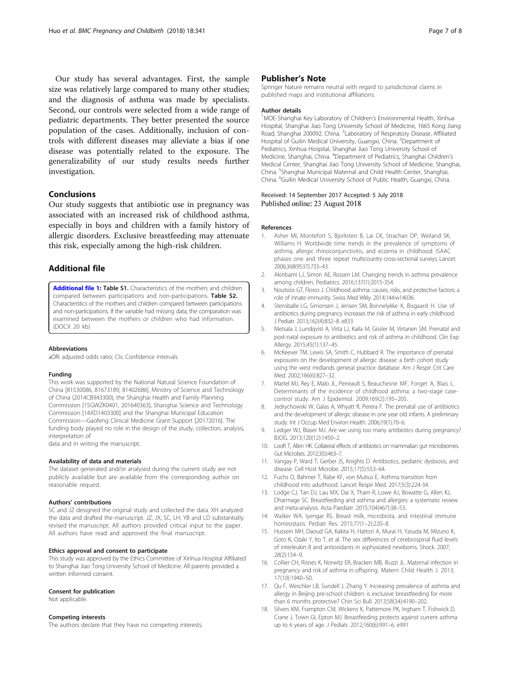<span id="page-6-0"></span>Our study has several advantages. First, the sample size was relatively large compared to many other studies; and the diagnosis of asthma was made by specialists. Second, our controls were selected from a wide range of pediatric departments. They better presented the source population of the cases. Additionally, inclusion of controls with different diseases may alleviate a bias if one disease was potentially related to the exposure. The generalizability of our study results needs further investigation.

# Conclusions

Our study suggests that antibiotic use in pregnancy was associated with an increased risk of childhood asthma, especially in boys and children with a family history of allergic disorders. Exclusive breastfeeding may attenuate this risk, especially among the high-risk children.

# Additional file

[Additional file 1:](https://doi.org/10.1186/s12884-018-1936-5) Table S1. Characteristics of the mothers and children compared between participations and non-participations. Table S2. Characteristics of the mothers and children compared between participations and non-participations. If the variable had missing data, the comparation was examined between the mothers or children who had information. (DOCX 20 kb)

#### **Abbreviations**

aOR: adjusted odds ratio; CIs: Confidence intervals

#### Funding

This work was supported by the National Natural Science Foundation of China [81530086, 81673189, 81402686], Ministry of Science and Technology of China (2014CB943300), the Shanghai Health and Family Planning Commission [15GWZK0401, 201640363], Shanghai Science and Technology Commission [14XD1403300] and the Shanghai Municipal Education Commission—Gaofeng Clinical Medicine Grant Support [20172016]. The funding body played no role in the design of the study, collection, analysis, interpretation of

data and in writing the manuscript.

#### Availability of data and materials

The dataset generated and/or analysed during the current study are not publicly available but are available from the corresponding author on reasonable request.

#### Authors' contributions

SC and JZ designed the original study and collected the data. XH analyzed the data and drafted the manuscript. JZ, JX, SC, LH, YB and LD substantially revised the manuscript. All authors provided critical input to the paper. All authors have read and approved the final manuscript.

#### Ethics approval and consent to participate

This study was approved by the Ethics Committee of Xinhua Hospital Affiliated to Shanghai Jiao Tong University School of Medicine. All parents provided a written informed consent.

#### Consent for publication

Not applicable.

# Competing interests

The authors declare that they have no competing interests.

### Publisher's Note

Springer Nature remains neutral with regard to jurisdictional claims in published maps and institutional affiliations.

#### Author details

<sup>1</sup>MOE-Shanghai Key Laboratory of Children's Environmental Health, Xinhua Hospital, Shanghai Jiao Tong University School of Medicine, 1665 Kong Jiang Road, Shanghai 200092, China. <sup>2</sup>Laboratory of Respiratory Disease, Affiliated Hospital of Guilin Medical University, Guangxi, China. <sup>3</sup>Department of Pediatrics, Xinhua Hospital, Shanghai Jiao Tong University School of Medicine, Shanghai, China. <sup>4</sup> Department of Pediatrics, Shanghai Children's Medical Center, Shanghai Jiao Tong University School of Medicine, Shanghai, China. <sup>5</sup> Shanghai Municipal Maternal and Child Health Center, Shanghai China. <sup>6</sup> Guilin Medical University School of Public Health, Guangxi, China

#### Received: 14 September 2017 Accepted: 5 July 2018 Published online: 23 August 2018

#### References

- 1. Asher MI, Montefort S, Bjorksten B, Lai CK, Strachan DP, Weiland SK, Williams H. Worldwide time trends in the prevalence of symptoms of asthma, allergic rhinoconjunctivitis, and eczema in childhood: ISAAC phases one and three repeat multicountry cross-sectional surveys. Lancet. 2006;368(9537):733–43.
- 2. Akinbami LJ, Simon AE, Rossen LM. Changing trends in asthma prevalence among children. Pediatrics. 2016;137(1):2015-354.
- 3. Noutsios GT, Floros J. Childhood asthma: causes, risks, and protective factors; a role of innate immunity. Swiss Med Wkly. 2014;144:w14036.
- 4. Stensballe LG, Simonsen J, Jensen SM, Bonnelykke K, Bisgaard H. Use of antibiotics during pregnancy increases the risk of asthma in early childhood. J Pediatr. 2013;162(4):832–8. e833
- 5. Metsala J, Lundqvist A, Virta LJ, Kaila M, Gissler M, Virtanen SM. Prenatal and post-natal exposure to antibiotics and risk of asthma in childhood. Clin Exp Allergy. 2015;45(1):137–45.
- 6. McKeever TM, Lewis SA, Smith C, Hubbard R. The importance of prenatal exposures on the development of allergic disease: a birth cohort study using the west midlands general practice database. Am J Respir Crit Care Med. 2002;166(6):827–32.
- 7. Martel MJ, Rey E, Malo JL, Perreault S, Beauchesne MF, Forget A, Blais L. Determinants of the incidence of childhood asthma: a two-stage casecontrol study. Am J Epidemiol. 2009;169(2):195–205.
- Jedrychowski W, Galas A, Whyatt R, Perera F. The prenatal use of antibiotics and the development of allergic disease in one year old infants. A preliminary study. Int J Occup Med Environ Health. 2006;19(1):70–6.
- 9. Ledger WJ, Blaser MJ. Are we using too many antibiotics during pregnancy? BJOG. 2013;120(12):1450–2.
- 10. Looft T, Allen HK. Collateral effects of antibiotics on mammalian gut microbiomes. Gut Microbes. 2012;3(5):463–7.
- 11. Vangay P, Ward T, Gerber JS, Knights D. Antibiotics, pediatric dysbiosis, and disease. Cell Host Microbe. 2015;17(5):553–64.
- 12. Fuchs O, Bahmer T, Rabe KF, von Mutius E. Asthma transition from childhood into adulthood. Lancet Respir Med. 2017;5(3):224-34.
- 13. Lodge CJ, Tan DJ, Lau MX, Dai X, Tham R, Lowe AJ, Bowatte G, Allen KJ, Dharmage SC. Breastfeeding and asthma and allergies: a systematic review and meta-analysis. Acta Paediatr. 2015;104(467):38–53.
- 14. Walker WA, Iyengar RS. Breast milk, microbiota, and intestinal immune homeostasis. Pediatr Res. 2015;77(1–2):220–8.
- 15. Hussein MH, Daoud GA, Kakita H, Hattori A, Murai H, Yasuda M, Mizuno K, Goto K, Ozaki Y, Ito T, et al. The sex differences of cerebrospinal fluid levels of interleukin 8 and antioxidants in asphyxiated newborns. Shock. 2007; 28(2):154–9.
- 16. Collier CH, Risnes K, Norwitz ER, Bracken MB, Illuzzi JL. Maternal infection in pregnancy and risk of asthma in offspring. Matern Child Health J. 2013; 17(10):1940–50.
- 17. Qu F, Weschler LB, Sundell J, Zhang Y. Increasing prevalence of asthma and allergy in Beijing pre-school children: is exclusive breastfeeding for more than 6 months protective? Chin Sci Bull. 2013;58(34):4190–202.
- 18. Silvers KM, Frampton CM, Wickens K, Pattemore PK, Ingham T, Fishwick D, Crane J, Town GI, Epton MJ. Breastfeeding protects against current asthma up to 6 years of age. J Pediatr. 2012;160(6):991–6. e991